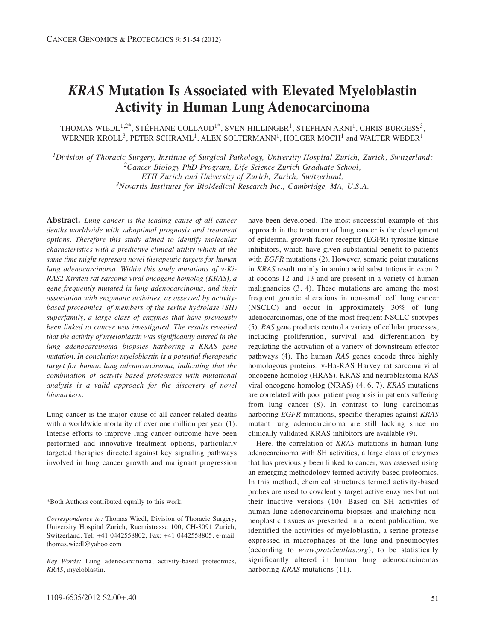# *KRAS* **Mutation Is Associated with Elevated Myeloblastin Activity in Human Lung Adenocarcinoma**

THOMAS WIEDL<sup>1,2\*</sup>, STÉPHANE COLLAUD<sup>1\*</sup>, SVEN HILLINGER<sup>1</sup>, STEPHAN ARNI<sup>1</sup>, CHRIS BURGESS<sup>3</sup>, WERNER KROLL<sup>3</sup>, PETER SCHRAML<sup>1</sup>, ALEX SOLTERMANN<sup>1</sup>, HOLGER MOCH<sup>1</sup> and WALTER WEDER<sup>1</sup>

*1Division of Thoracic Surgery, Institute of Surgical Pathology, University Hospital Zurich, Zurich, Switzerland; 2Cancer Biology PhD Program, Life Science Zurich Graduate School, ETH Zurich and University of Zurich, Zurich, Switzerland; 3Novartis Institutes for BioMedical Research Inc., Cambridge, MA, U.S.A.*

**Abstract.** *Lung cancer is the leading cause of all cancer deaths worldwide with suboptimal prognosis and treatment options. Therefore this study aimed to identify molecular characteristics with a predictive clinical utility which at the same time might represent novel therapeutic targets for human lung adenocarcinoma. Within this study mutations of v-Ki-RAS2 Kirsten rat sarcoma viral oncogene homolog (KRAS), a gene frequently mutated in lung adenocarcinoma, and their association with enzymatic activities, as assessed by activitybased proteomics, of members of the serine hydrolase (SH) superfamily, a large class of enzymes that have previously been linked to cancer was investigated. The results revealed that the activity of myeloblastin was significantly altered in the lung adenocarcinoma biopsies harboring a KRAS gene mutation. In conclusion myeloblastin is a potential therapeutic target for human lung adenocarcinoma, indicating that the combination of activity-based proteomics with mutational analysis is a valid approach for the discovery of novel biomarkers.*

Lung cancer is the major cause of all cancer-related deaths with a worldwide mortality of over one million per year (1). Intense efforts to improve lung cancer outcome have been performed and innovative treatment options, particularly targeted therapies directed against key signaling pathways involved in lung cancer growth and malignant progression

\*Both Authors contributed equally to this work.

*Correspondence to:* Thomas Wiedl, Division of Thoracic Surgery, University Hospital Zurich, Raemistrasse 100, CH-8091 Zurich, Switzerland. Tel: +41 0442558802, Fax: +41 0442558805, e-mail: thomas.wiedl@yahoo.com

*Key Words:* Lung adenocarcinoma, activity-based proteomics, *KRAS*, myeloblastin.

have been developed. The most successful example of this approach in the treatment of lung cancer is the development of epidermal growth factor receptor (EGFR) tyrosine kinase inhibitors, which have given substantial benefit to patients with *EGFR* mutations (2). However, somatic point mutations in *KRAS* result mainly in amino acid substitutions in exon 2 at codons 12 and 13 and are present in a variety of human malignancies (3, 4). These mutations are among the most frequent genetic alterations in non-small cell lung cancer (NSCLC) and occur in approximately 30% of lung adenocarcinomas, one of the most frequent NSCLC subtypes (5). *RAS* gene products control a variety of cellular processes, including proliferation, survival and differentiation by regulating the activation of a variety of downstream effector pathways (4). The human *RAS* genes encode three highly homologous proteins: v-Ha-RAS Harvey rat sarcoma viral oncogene homolog (HRAS), KRAS and neuroblastoma RAS viral oncogene homolog (NRAS) (4, 6, 7). *KRAS* mutations are correlated with poor patient prognosis in patients suffering from lung cancer (8). In contrast to lung carcinomas harboring *EGFR* mutations, specific therapies against *KRAS* mutant lung adenocarcinoma are still lacking since no clinically validated KRAS inhibitors are available (9).

Here, the correlation of *KRAS* mutations in human lung adenocarcinoma with SH activities, a large class of enzymes that has previously been linked to cancer, was assessed using an emerging methodology termed activity-based proteomics. In this method, chemical structures termed activity-based probes are used to covalently target active enzymes but not their inactive versions (10). Based on SH activities of human lung adenocarcinoma biopsies and matching nonneoplastic tissues as presented in a recent publication, we identified the activities of myeloblastin, a serine protease expressed in macrophages of the lung and pneumocytes (according to *www.proteinatlas.org*), to be statistically significantly altered in human lung adenocarcinomas harboring *KRAS* mutations (11).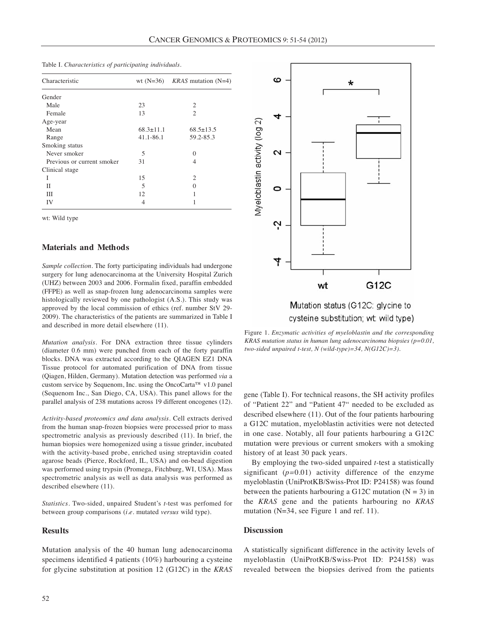| Characteristic             |                 | wt (N=36) $KRAS$ mutation (N=4) |
|----------------------------|-----------------|---------------------------------|
| Gender                     |                 |                                 |
| Male                       | 23              | 2                               |
| Female                     | 13              | $\mathfrak{D}$                  |
| Age-year                   |                 |                                 |
| Mean                       | $68.3 \pm 11.1$ | $68.5 \pm 13.5$                 |
| Range                      | 41.1-86.1       | 59.2-85.3                       |
| Smoking status             |                 |                                 |
| Never smoker               | 5               | $\Omega$                        |
| Previous or current smoker | 31              | $\overline{4}$                  |
| Clinical stage             |                 |                                 |
| I                          | 15              | $\mathcal{D}_{\mathcal{L}}$     |
| Н                          | 5               | $\Omega$                        |
| Ш                          | 12              |                                 |
| IV                         | 4               |                                 |

Table I. *Characteristics of participating individuals.*

wt: Wild type

#### **Materials and Methods**

*Sample collection.* The forty participating individuals had undergone surgery for lung adenocarcinoma at the University Hospital Zurich (UHZ) between 2003 and 2006. Formalin fixed, paraffin embedded (FFPE) as well as snap-frozen lung adenocarcinoma samples were histologically reviewed by one pathologist (A.S.). This study was approved by the local commission of ethics (ref. number StV 29- 2009). The characteristics of the patients are summarized in Table I and described in more detail elsewhere (11).

*Mutation analysis.* For DNA extraction three tissue cylinders (diameter 0.6 mm) were punched from each of the forty paraffin blocks. DNA was extracted according to the QIAGEN EZ1 DNA Tissue protocol for automated purification of DNA from tissue (Qiagen, Hilden, Germany). Mutation detection was performed *via* a custom service by Sequenom, Inc. using the OncoCarta™ v1.0 panel (Sequenom Inc., San Diego, CA, USA). This panel allows for the parallel analysis of 238 mutations across 19 different oncogenes (12).

*Activity-based proteomics and data analysis.* Cell extracts derived from the human snap-frozen biopsies were processed prior to mass spectrometric analysis as previously described (11). In brief, the human biopsies were homogenized using a tissue grinder, incubated with the activity-based probe, enriched using streptavidin coated agarose beads (Pierce, Rockford, IL, USA) and on-bead digestion was performed using trypsin (Promega, Fitchburg, WI, USA). Mass spectrometric analysis as well as data analysis was performed as described elsewhere (11).

*Statistics.* Two-sided, unpaired Student's *t*-test was perfomed for between group comparisons (*i.e.* mutated *versus* wild type).

## **Results**

Mutation analysis of the 40 human lung adenocarcinoma specimens identified 4 patients (10%) harbouring a cysteine for glycine substitution at position 12 (G12C) in the *KRAS*



cysteine substitution; wt: wild type)

Figure 1*. Enzymatic activities of myeloblastin and the corresponding KRAS mutation status in human lung adenocarcinoma biopsies (p=0.01, two-sided unpaired t-test, N (wild-type)=34, N(G12C)=3).*

gene (Table I). For technical reasons, the SH activity profiles of "Patient 22" and "Patient 47" needed to be excluded as described elsewhere (11). Out of the four patients harbouring a G12C mutation, myeloblastin activities were not detected in one case. Notably, all four patients harbouring a G12C mutation were previous or current smokers with a smoking history of at least 30 pack years.

By employing the two-sided unpaired *t-*test a statistically significant (*p=*0.01) activity difference of the enzyme myeloblastin (UniProtKB/Swiss-Prot ID: P24158) was found between the patients harbouring a G12C mutation  $(N = 3)$  in the *KRAS* gene and the patients harbouring no *KRAS* mutation (N=34, see Figure 1 and ref. 11).

## **Discussion**

A statistically significant difference in the activity levels of myeloblastin (UniProtKB/Swiss-Prot ID: P24158) was revealed between the biopsies derived from the patients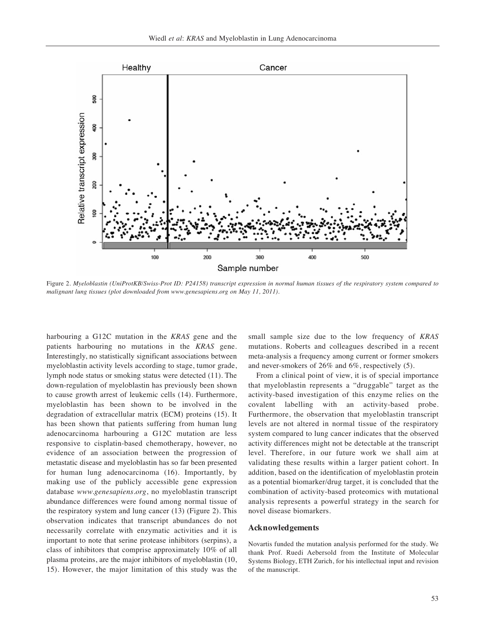

Figure 2. *Myeloblastin (UniProtKB/Swiss-Prot ID: P24158) transcript expression in normal human tissues of the respiratory system compared to malignant lung tissues (plot downloaded from www.genesapiens.org on May 11, 2011).*

harbouring a G12C mutation in the *KRAS* gene and the patients harbouring no mutations in the *KRAS* gene. Interestingly, no statistically significant associations between myeloblastin activity levels according to stage, tumor grade, lymph node status or smoking status were detected (11). The down-regulation of myeloblastin has previously been shown to cause growth arrest of leukemic cells (14). Furthermore, myeloblastin has been shown to be involved in the degradation of extracellular matrix (ECM) proteins (15). It has been shown that patients suffering from human lung adenocarcinoma harbouring a G12C mutation are less responsive to cisplatin-based chemotherapy, however, no evidence of an association between the progression of metastatic disease and myeloblastin has so far been presented for human lung adenocarcinoma (16). Importantly, by making use of the publicly accessible gene expression database *www.genesapiens.org*, no myeloblastin transcript abundance differences were found among normal tissue of the respiratory system and lung cancer (13) (Figure 2). This observation indicates that transcript abundances do not necessarily correlate with enzymatic activities and it is important to note that serine protease inhibitors (serpins), a class of inhibitors that comprise approximately 10% of all plasma proteins, are the major inhibitors of myeloblastin (10, 15). However, the major limitation of this study was the

small sample size due to the low frequency of *KRAS* mutations. Roberts and colleagues described in a recent meta-analysis a frequency among current or former smokers and never-smokers of 26% and 6%, respectively (5).

From a clinical point of view, it is of special importance that myeloblastin represents a "druggable" target as the activity-based investigation of this enzyme relies on the covalent labelling with an activity-based probe. Furthermore, the observation that myeloblastin transcript levels are not altered in normal tissue of the respiratory system compared to lung cancer indicates that the observed activity differences might not be detectable at the transcript level. Therefore, in our future work we shall aim at validating these results within a larger patient cohort. In addition, based on the identification of myeloblastin protein as a potential biomarker/drug target, it is concluded that the combination of activity-based proteomics with mutational analysis represents a powerful strategy in the search for novel disease biomarkers.

#### **Acknowledgements**

Novartis funded the mutation analysis performed for the study. We thank Prof. Ruedi Aebersold from the Institute of Molecular Systems Biology, ETH Zurich, for his intellectual input and revision of the manuscript.